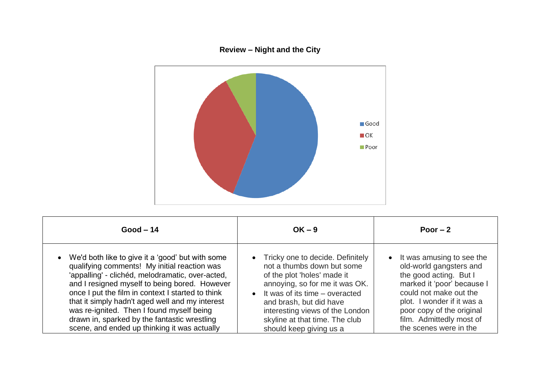## **Review – Night and the City**



| $Good-14$                                                                                                                                                                                                                                                                                                                                                                                                                                                    | $OK - 9$                                                                                                                                                                                                                                                                                                    | Poor $-2$                                                                                                                                                                                                                                               |
|--------------------------------------------------------------------------------------------------------------------------------------------------------------------------------------------------------------------------------------------------------------------------------------------------------------------------------------------------------------------------------------------------------------------------------------------------------------|-------------------------------------------------------------------------------------------------------------------------------------------------------------------------------------------------------------------------------------------------------------------------------------------------------------|---------------------------------------------------------------------------------------------------------------------------------------------------------------------------------------------------------------------------------------------------------|
| • We'd both like to give it a 'good' but with some<br>qualifying comments! My initial reaction was<br>'appalling' - clichéd, melodramatic, over-acted,<br>and I resigned myself to being bored. However<br>once I put the film in context I started to think<br>that it simply hadn't aged well and my interest<br>was re-ignited. Then I found myself being<br>drawn in, sparked by the fantastic wrestling<br>scene, and ended up thinking it was actually | • Tricky one to decide. Definitely<br>not a thumbs down but some<br>of the plot 'holes' made it<br>annoying, so for me it was OK.<br>It was of its time – overacted<br>$\bullet$<br>and brash, but did have<br>interesting views of the London<br>skyline at that time. The club<br>should keep giving us a | It was amusing to see the<br>old-world gangsters and<br>the good acting. But I<br>marked it 'poor' because I<br>could not make out the<br>plot. I wonder if it was a<br>poor copy of the original<br>film. Admittedly most of<br>the scenes were in the |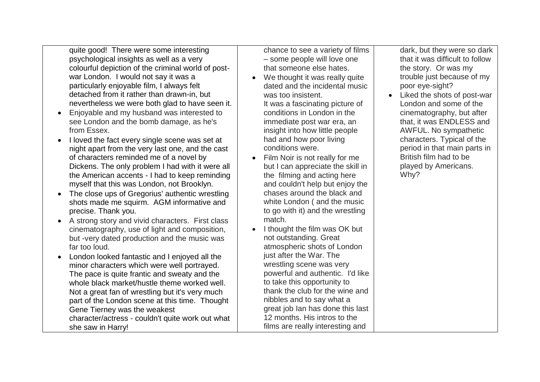quite good! There were some interesting psychological insights as well as a very colourful depiction of the criminal world of postwar London. I would not say it was a particularly enjoyable film, I always felt detached from it rather than drawn-in, but nevertheless we were both glad to have seen it.

- Enjoyable and my husband was interested to see London and the bomb damage, as he's from Essex.
- I loved the fact every single scene was set at night apart from the very last one, and the cast of characters reminded me of a novel by Dickens. The only problem I had with it were all the American accents - I had to keep reminding myself that this was London, not Brooklyn.
- The close ups of Gregorius' authentic wrestling shots made me squirm. AGM informative and precise. Thank you.
- A strong story and vivid characters. First class cinematography, use of light and composition, but -very dated production and the music was far too loud.
- London looked fantastic and I enjoyed all the minor characters which were well portrayed. The pace is quite frantic and sweaty and the whole black market/hustle theme worked well. Not a great fan of wrestling but it's very much part of the London scene at this time. Thought Gene Tierney was the weakest character/actress - couldn't quite work out what she saw in Harry!

chance to see a variety of films – some people will love one that someone else hates.

- We thought it was really quite dated and the incidental music was too insistent. It was a fascinating picture of conditions in London in the immediate post war era, an insight into how little people had and how poor living conditions were.
- Film Noir is not really for me but I can appreciate the skill in the filming and acting here and couldn't help but enjoy the chases around the black and white London ( and the music to go with it) and the wrestling match.
- I thought the film was OK but not outstanding. Great atmospheric shots of London just after the War. The wrestling scene was very powerful and authentic. I'd like to take this opportunity to thank the club for the wine and nibbles and to say what a great job Ian has done this last 12 months. His intros to the films are really interesting and

dark, but they were so dark that it was difficult to follow the story. Or was my trouble just because of my poor eye-sight?

 Liked the shots of post-war London and some of the cinematography, but after that, it was ENDLESS and AWFUL. No sympathetic characters. Typical of the period in that main parts in British film had to be played by Americans. Why?